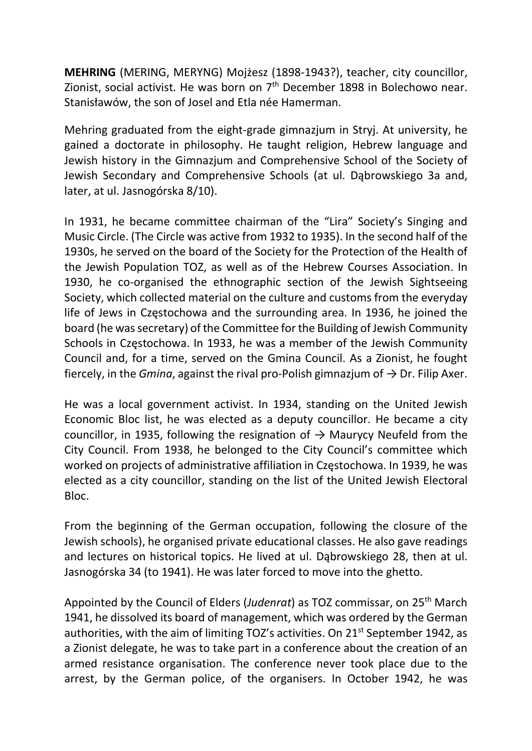MEHRING (MERING, MERYNG) Mojżesz (1898-1943?), teacher, city councillor, Zionist, social activist. He was born on  $7<sup>th</sup>$  December 1898 in Bolechowo near. Stanisławów, the son of Josel and Etla née Hamerman.

Mehring graduated from the eight-grade gimnazjum in Stryj. At university, he gained a doctorate in philosophy. He taught religion, Hebrew language and Jewish history in the Gimnazjum and Comprehensive School of the Society of Jewish Secondary and Comprehensive Schools (at ul. Dąbrowskiego 3a and, later, at ul. Jasnogórska 8/10).

In 1931, he became committee chairman of the "Lira" Society's Singing and Music Circle. (The Circle was active from 1932 to 1935). In the second half of the 1930s, he served on the board of the Society for the Protection of the Health of the Jewish Population TOZ, as well as of the Hebrew Courses Association. In 1930, he co-organised the ethnographic section of the Jewish Sightseeing Society, which collected material on the culture and customs from the everyday life of Jews in Częstochowa and the surrounding area. In 1936, he joined the board (he was secretary) of the Committee for the Building of Jewish Community Schools in Częstochowa. In 1933, he was a member of the Jewish Community Council and, for a time, served on the Gmina Council. As a Zionist, he fought fiercely, in the *Gmina*, against the rival pro-Polish gimnazjum of  $\rightarrow$  Dr. Filip Axer.

He was a local government activist. In 1934, standing on the United Jewish Economic Bloc list, he was elected as a deputy councillor. He became a city councillor, in 1935, following the resignation of  $\rightarrow$  Maurycy Neufeld from the City Council. From 1938, he belonged to the City Council's committee which worked on projects of administrative affiliation in Częstochowa. In 1939, he was elected as a city councillor, standing on the list of the United Jewish Electoral Bloc.

From the beginning of the German occupation, following the closure of the Jewish schools), he organised private educational classes. He also gave readings and lectures on historical topics. He lived at ul. Dąbrowskiego 28, then at ul. Jasnogórska 34 (to 1941). He was later forced to move into the ghetto.

Appointed by the Council of Elders (Judenrat) as TOZ commissar, on 25<sup>th</sup> March 1941, he dissolved its board of management, which was ordered by the German authorities, with the aim of limiting TOZ's activities. On 21<sup>st</sup> September 1942, as a Zionist delegate, he was to take part in a conference about the creation of an armed resistance organisation. The conference never took place due to the arrest, by the German police, of the organisers. In October 1942, he was